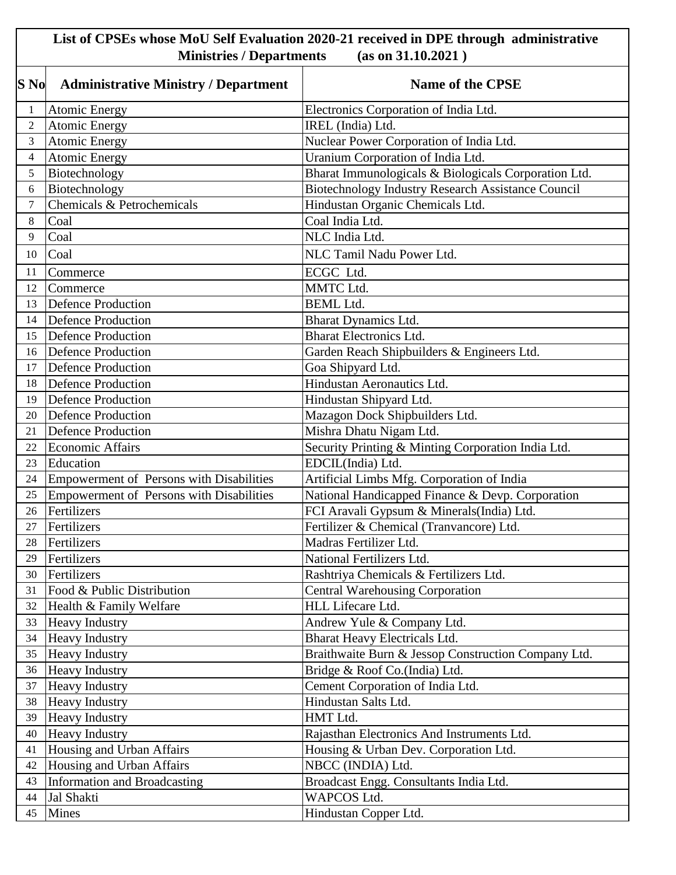## **List of CPSEs whose MoU Self Evaluation 2020-21 received in DPE through administrative Ministries / Departments (as on 31.10.2021 )**

| S No             | <b>Administrative Ministry / Department</b> | <b>Name of the CPSE</b>                                   |
|------------------|---------------------------------------------|-----------------------------------------------------------|
| 1                | <b>Atomic Energy</b>                        | Electronics Corporation of India Ltd.                     |
| $\overline{2}$   | <b>Atomic Energy</b>                        | IREL (India) Ltd.                                         |
| 3                | <b>Atomic Energy</b>                        | Nuclear Power Corporation of India Ltd.                   |
| $\overline{4}$   | <b>Atomic Energy</b>                        | Uranium Corporation of India Ltd.                         |
| 5                | Biotechnology                               | Bharat Immunologicals & Biologicals Corporation Ltd.      |
| 6                | Biotechnology                               | <b>Biotechnology Industry Research Assistance Council</b> |
| $\boldsymbol{7}$ | Chemicals & Petrochemicals                  | Hindustan Organic Chemicals Ltd.                          |
| 8                | Coal                                        | Coal India Ltd.                                           |
| 9                | Coal                                        | NLC India Ltd.                                            |
| 10               | Coal                                        | NLC Tamil Nadu Power Ltd.                                 |
| 11               | Commerce                                    | ECGC Ltd.                                                 |
| 12               | Commerce                                    | MMTC Ltd.                                                 |
| 13               | Defence Production                          | <b>BEML</b> Ltd.                                          |
| 14               | Defence Production                          | <b>Bharat Dynamics Ltd.</b>                               |
| 15               | <b>Defence Production</b>                   | <b>Bharat Electronics Ltd.</b>                            |
| 16               | <b>Defence Production</b>                   | Garden Reach Shipbuilders & Engineers Ltd.                |
| 17               | <b>Defence Production</b>                   | Goa Shipyard Ltd.                                         |
| 18               | <b>Defence Production</b>                   | Hindustan Aeronautics Ltd.                                |
| 19               | <b>Defence Production</b>                   | Hindustan Shipyard Ltd.                                   |
| 20               | <b>Defence Production</b>                   | Mazagon Dock Shipbuilders Ltd.                            |
| 21               | <b>Defence Production</b>                   | Mishra Dhatu Nigam Ltd.                                   |
| 22               | <b>Economic Affairs</b>                     | Security Printing & Minting Corporation India Ltd.        |
| 23               | Education                                   | EDCIL(India) Ltd.                                         |
| 24               | Empowerment of Persons with Disabilities    | Artificial Limbs Mfg. Corporation of India                |
| 25               | Empowerment of Persons with Disabilities    | National Handicapped Finance & Devp. Corporation          |
| 26               | Fertilizers                                 | FCI Aravali Gypsum & Minerals(India) Ltd.                 |
| 27               | Fertilizers                                 | Fertilizer & Chemical (Tranvancore) Ltd.                  |
| 28               | Fertilizers                                 | Madras Fertilizer Ltd.                                    |
| 29               | Fertilizers                                 | National Fertilizers Ltd.                                 |
| 30               | Fertilizers                                 | Rashtriya Chemicals & Fertilizers Ltd.                    |
| 31               | Food & Public Distribution                  | <b>Central Warehousing Corporation</b>                    |
| 32               | Health & Family Welfare                     | HLL Lifecare Ltd.                                         |
| 33               | <b>Heavy Industry</b>                       | Andrew Yule & Company Ltd.                                |
| 34               | <b>Heavy Industry</b>                       | Bharat Heavy Electricals Ltd.                             |
| 35               | <b>Heavy Industry</b>                       | Braithwaite Burn & Jessop Construction Company Ltd.       |
| 36               | <b>Heavy Industry</b>                       | Bridge & Roof Co.(India) Ltd.                             |
| 37               | <b>Heavy Industry</b>                       | Cement Corporation of India Ltd.                          |
| 38               | <b>Heavy Industry</b>                       | Hindustan Salts Ltd.                                      |
| 39               | <b>Heavy Industry</b>                       | HMT Ltd.                                                  |
| 40               | <b>Heavy Industry</b>                       | Rajasthan Electronics And Instruments Ltd.                |
| 41               | Housing and Urban Affairs                   | Housing & Urban Dev. Corporation Ltd.                     |
| 42               | Housing and Urban Affairs                   | NBCC (INDIA) Ltd.                                         |
| 43               | Information and Broadcasting                | Broadcast Engg. Consultants India Ltd.                    |
| 44               | Jal Shakti                                  | <b>WAPCOS Ltd.</b>                                        |
| 45               | <b>Mines</b>                                | Hindustan Copper Ltd.                                     |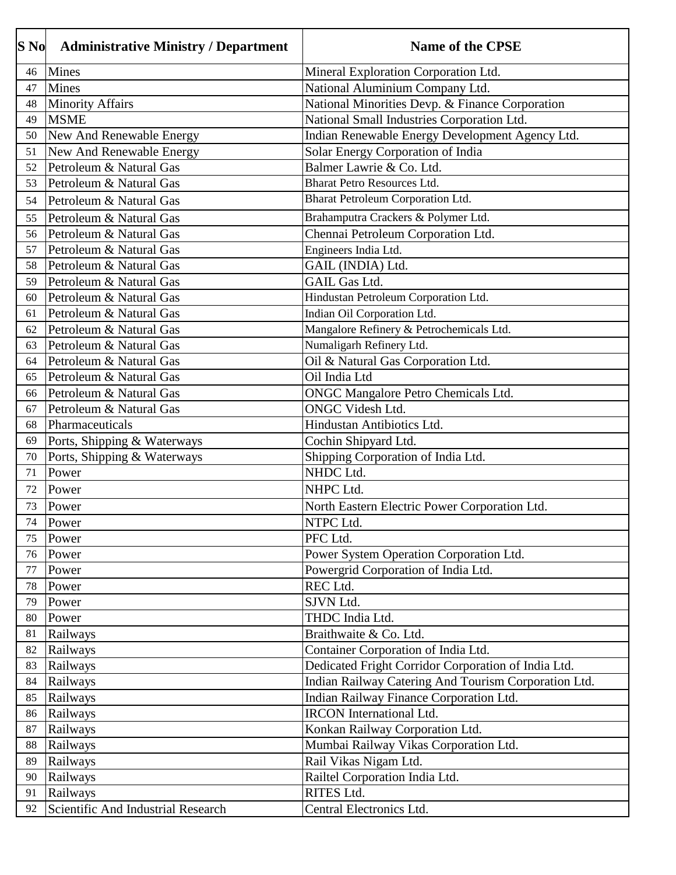| S No | <b>Administrative Ministry / Department</b> | <b>Name of the CPSE</b>                              |
|------|---------------------------------------------|------------------------------------------------------|
| 46   | <b>Mines</b>                                | Mineral Exploration Corporation Ltd.                 |
| 47   | <b>Mines</b>                                | National Aluminium Company Ltd.                      |
| 48   | <b>Minority Affairs</b>                     | National Minorities Devp. & Finance Corporation      |
| 49   | <b>MSME</b>                                 | National Small Industries Corporation Ltd.           |
| 50   | New And Renewable Energy                    | Indian Renewable Energy Development Agency Ltd.      |
| 51   | New And Renewable Energy                    | Solar Energy Corporation of India                    |
| 52   | Petroleum & Natural Gas                     | Balmer Lawrie & Co. Ltd.                             |
| 53   | Petroleum & Natural Gas                     | Bharat Petro Resources Ltd.                          |
| 54   | Petroleum & Natural Gas                     | Bharat Petroleum Corporation Ltd.                    |
| 55   | Petroleum & Natural Gas                     | Brahamputra Crackers & Polymer Ltd.                  |
| 56   | Petroleum & Natural Gas                     | Chennai Petroleum Corporation Ltd.                   |
| 57   | Petroleum & Natural Gas                     | Engineers India Ltd.                                 |
| 58   | Petroleum & Natural Gas                     | GAIL (INDIA) Ltd.                                    |
| 59   | Petroleum & Natural Gas                     | <b>GAIL Gas Ltd.</b>                                 |
| 60   | Petroleum & Natural Gas                     | Hindustan Petroleum Corporation Ltd.                 |
| 61   | Petroleum & Natural Gas                     | Indian Oil Corporation Ltd.                          |
| 62   | Petroleum & Natural Gas                     | Mangalore Refinery & Petrochemicals Ltd.             |
| 63   | Petroleum & Natural Gas                     | Numaligarh Refinery Ltd.                             |
| 64   | Petroleum & Natural Gas                     | Oil & Natural Gas Corporation Ltd.                   |
| 65   | Petroleum & Natural Gas                     | Oil India Ltd                                        |
| 66   | Petroleum & Natural Gas                     | ONGC Mangalore Petro Chemicals Ltd.                  |
| 67   | Petroleum & Natural Gas                     | <b>ONGC Videsh Ltd.</b>                              |
| 68   | Pharmaceuticals                             | Hindustan Antibiotics Ltd.                           |
| 69   | Ports, Shipping & Waterways                 | Cochin Shipyard Ltd.                                 |
| 70   | Ports, Shipping & Waterways                 | Shipping Corporation of India Ltd.                   |
| 71   | Power                                       | NHDC Ltd.                                            |
| 72   | Power                                       | NHPC Ltd.                                            |
| 73   | Power                                       | North Eastern Electric Power Corporation Ltd.        |
| 74   | Power                                       | NTPC Ltd.                                            |
| 75   | Power                                       | PFC Ltd.                                             |
| 76   | Power                                       | Power System Operation Corporation Ltd.              |
| 77   | Power                                       | Powergrid Corporation of India Ltd.                  |
| 78   | Power                                       | REC Ltd.                                             |
| 79   | Power                                       | SJVN Ltd.                                            |
| 80   | Power                                       | THDC India Ltd.                                      |
| 81   | Railways                                    | Braithwaite & Co. Ltd.                               |
| 82   | Railways                                    | Container Corporation of India Ltd.                  |
| 83   | Railways                                    | Dedicated Fright Corridor Corporation of India Ltd.  |
| 84   | Railways                                    | Indian Railway Catering And Tourism Corporation Ltd. |
| 85   | Railways                                    | Indian Railway Finance Corporation Ltd.              |
| 86   | Railways                                    | <b>IRCON</b> International Ltd.                      |
| 87   | Railways                                    | Konkan Railway Corporation Ltd.                      |
| 88   | Railways                                    | Mumbai Railway Vikas Corporation Ltd.                |
| 89   | Railways                                    | Rail Vikas Nigam Ltd.                                |
| 90   | Railways                                    | Railtel Corporation India Ltd.                       |
| 91   | Railways                                    | RITES Ltd.                                           |
| 92   | Scientific And Industrial Research          | Central Electronics Ltd.                             |